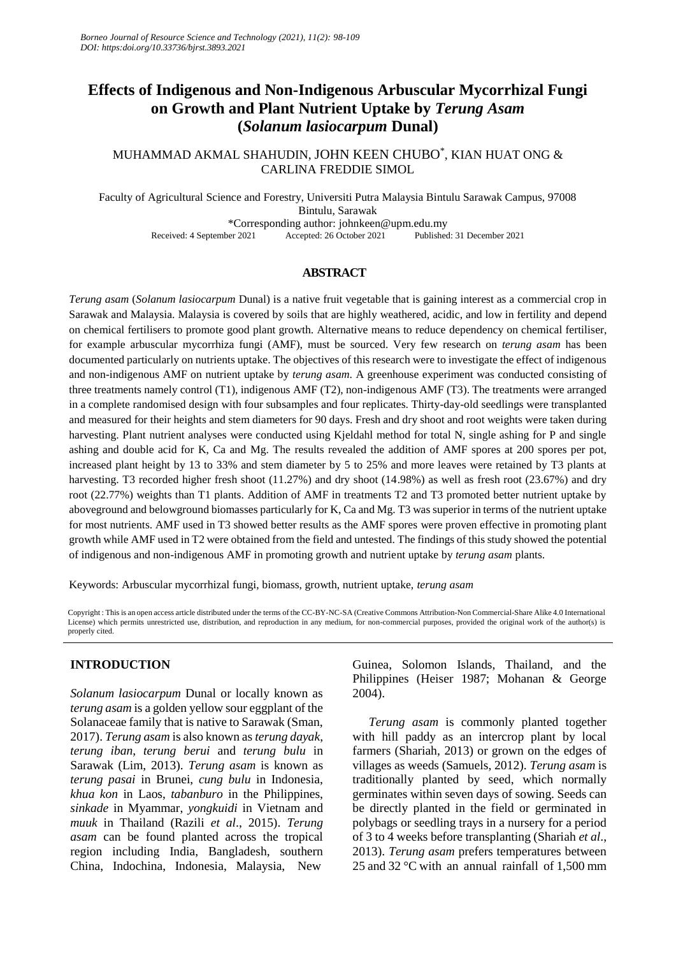# **Effects of Indigenous and Non-Indigenous Arbuscular Mycorrhizal Fungi on Growth and Plant Nutrient Uptake by** *Terung Asam* **(***Solanum lasiocarpum* **Dunal)**

MUHAMMAD AKMAL SHAHUDIN, JOHN KEEN CHUBO $^{*}$ , KIAN HUAT ONG  $\&$ CARLINA FREDDIE SIMOL

Faculty of Agricultural Science and Forestry, Universiti Putra Malaysia Bintulu Sarawak Campus, 97008 Bintulu, Sarawak \*Corresponding author: johnkeen@upm.edu.my Received: 4 September 2021 Accepted: 26 October 2021 Published: 31 December 2021

### **ABSTRACT**

*Terung asam* (*Solanum lasiocarpum* Dunal) is a native fruit vegetable that is gaining interest as a commercial crop in Sarawak and Malaysia. Malaysia is covered by soils that are highly weathered, acidic, and low in fertility and depend on chemical fertilisers to promote good plant growth. Alternative means to reduce dependency on chemical fertiliser, for example arbuscular mycorrhiza fungi (AMF), must be sourced. Very few research on *terung asam* has been documented particularly on nutrients uptake. The objectives of this research were to investigate the effect of indigenous and non-indigenous AMF on nutrient uptake by *terung asam*. A greenhouse experiment was conducted consisting of three treatments namely control (T1), indigenous AMF (T2), non-indigenous AMF (T3). The treatments were arranged in a complete randomised design with four subsamples and four replicates. Thirty-day-old seedlings were transplanted and measured for their heights and stem diameters for 90 days. Fresh and dry shoot and root weights were taken during harvesting. Plant nutrient analyses were conducted using Kjeldahl method for total N, single ashing for P and single ashing and double acid for K, Ca and Mg. The results revealed the addition of AMF spores at 200 spores per pot, increased plant height by 13 to 33% and stem diameter by 5 to 25% and more leaves were retained by T3 plants at harvesting. T3 recorded higher fresh shoot (11.27%) and dry shoot (14.98%) as well as fresh root (23.67%) and dry root (22.77%) weights than T1 plants. Addition of AMF in treatments T2 and T3 promoted better nutrient uptake by aboveground and belowground biomasses particularly for K, Ca and Mg. T3 was superior in terms of the nutrient uptake for most nutrients. AMF used in T3 showed better results as the AMF spores were proven effective in promoting plant growth while AMF used in T2 were obtained from the field and untested. The findings of this study showed the potential of indigenous and non-indigenous AMF in promoting growth and nutrient uptake by *terung asam* plants.

Keywords: Arbuscular mycorrhizal fungi, biomass, growth, nutrient uptake, *terung asam*

Copyright : This is an open access article distributed under the terms of the CC-BY-NC-SA (Creative Commons Attribution-Non Commercial-Share Alike 4.0 International License) which permits unrestricted use, distribution, and reproduction in any medium, for non-commercial purposes, provided the original work of the author(s) is properly cited.

# **INTRODUCTION**

*Solanum lasiocarpum* Dunal or locally known as *terung asam* is a golden yellow sour eggplant of the Solanaceae family that is native to Sarawak (Sman, 2017). *Terung asam* is also known as *terung dayak*, *terung iban*, *terung berui* and *terung bulu* in Sarawak (Lim, 2013). *Terung asam* is known as *terung pasai* in Brunei, *cung bulu* in Indonesia, *khua kon* in Laos, *tabanburo* in the Philippines, *sinkade* in Myammar, *yongkuidi* in Vietnam and *muuk* in Thailand (Razili *et al*., 2015). *Terung asam* can be found planted across the tropical region including India, Bangladesh, southern China, Indochina, Indonesia, Malaysia, New

Guinea, Solomon Islands, Thailand, and the Philippines (Heiser 1987; Mohanan & George 2004).

*Terung asam* is commonly planted together with hill paddy as an intercrop plant by local farmers (Shariah, 2013) or grown on the edges of villages as weeds (Samuels, 2012). *Terung asam* is traditionally planted by seed, which normally germinates within seven days of sowing. Seeds can be directly planted in the field or germinated in polybags or seedling trays in a nursery for a period of 3 to 4 weeks before transplanting (Shariah *et al*., 2013). *Terung asam* prefers temperatures between 25 and 32 °C with an annual rainfall of 1,500 mm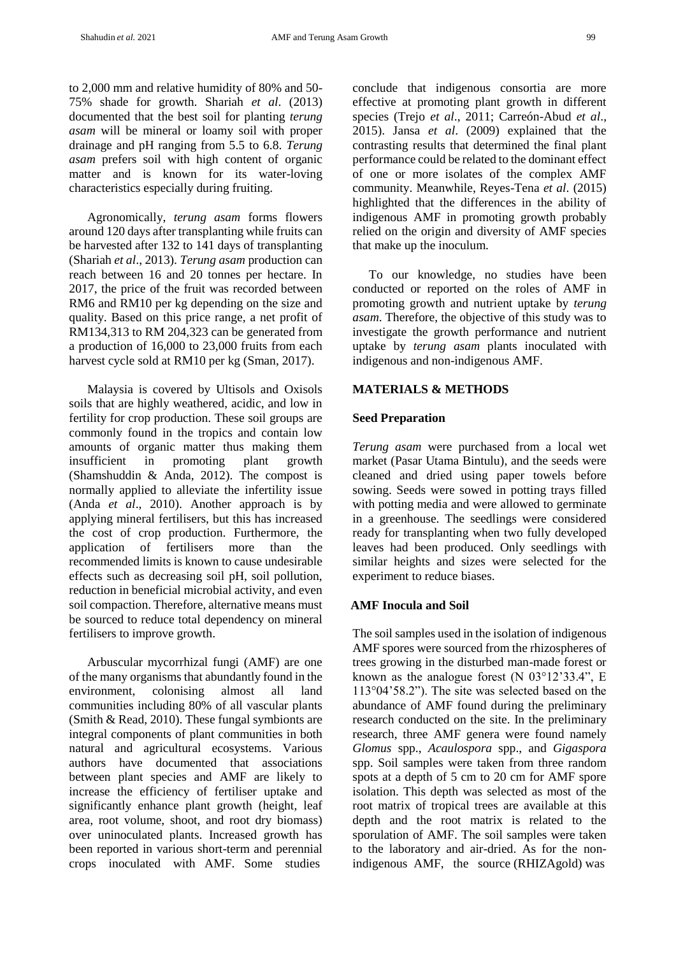to 2,000 mm and relative humidity of 80% and 50- 75% shade for growth. Shariah *et al*. (2013) documented that the best soil for planting *terung asam* will be mineral or loamy soil with proper drainage and pH ranging from 5.5 to 6.8. *Terung asam* prefers soil with high content of organic matter and is known for its water-loving characteristics especially during fruiting.

Agronomically, *terung asam* forms flowers around 120 days after transplanting while fruits can be harvested after 132 to 141 days of transplanting (Shariah *et al*., 2013). *Terung asam* production can reach between 16 and 20 tonnes per hectare. In 2017, the price of the fruit was recorded between RM6 and RM10 per kg depending on the size and quality. Based on this price range, a net profit of RM134,313 to RM 204,323 can be generated from a production of 16,000 to 23,000 fruits from each harvest cycle sold at RM10 per kg (Sman, 2017).

Malaysia is covered by Ultisols and Oxisols soils that are highly weathered, acidic, and low in fertility for crop production. These soil groups are commonly found in the tropics and contain low amounts of organic matter thus making them insufficient in promoting plant growth (Shamshuddin & Anda, 2012). The compost is normally applied to alleviate the infertility issue (Anda *et al*., 2010). Another approach is by applying mineral fertilisers, but this has increased the cost of crop production. Furthermore, the application of fertilisers more than the recommended limits is known to cause undesirable effects such as decreasing soil pH, soil pollution, reduction in beneficial microbial activity, and even soil compaction. Therefore, alternative means must be sourced to reduce total dependency on mineral fertilisers to improve growth.

Arbuscular mycorrhizal fungi (AMF) are one of the many organisms that abundantly found in the environment, colonising almost all land communities including 80% of all vascular plants (Smith & Read, 2010). These fungal symbionts are integral components of plant communities in both natural and agricultural ecosystems. Various authors have documented that associations between plant species and AMF are likely to increase the efficiency of fertiliser uptake and significantly enhance plant growth (height, leaf area, root volume, shoot, and root dry biomass) over uninoculated plants. Increased growth has been reported in various short-term and perennial crops inoculated with AMF. Some studies

conclude that indigenous consortia are more effective at promoting plant growth in different species (Trejo *et al*., 2011; Carreón-Abud *et al*., 2015). Jansa *et al*. (2009) explained that the contrasting results that determined the final plant performance could be related to the dominant effect of one or more isolates of the complex AMF community. Meanwhile, Reyes-Tena *et al*. (2015) highlighted that the differences in the ability of indigenous AMF in promoting growth probably relied on the origin and diversity of AMF species that make up the inoculum.

To our knowledge, no studies have been conducted or reported on the roles of AMF in promoting growth and nutrient uptake by *terung asam*. Therefore, the objective of this study was to investigate the growth performance and nutrient uptake by *terung asam* plants inoculated with indigenous and non-indigenous AMF.

### **MATERIALS & METHODS**

#### **Seed Preparation**

*Terung asam* were purchased from a local wet market (Pasar Utama Bintulu), and the seeds were cleaned and dried using paper towels before sowing. Seeds were sowed in potting trays filled with potting media and were allowed to germinate in a greenhouse. The seedlings were considered ready for transplanting when two fully developed leaves had been produced. Only seedlings with similar heights and sizes were selected for the experiment to reduce biases.

### **AMF Inocula and Soil**

The soil samples used in the isolation of indigenous AMF spores were sourced from the rhizospheres of trees growing in the disturbed man-made forest or known as the analogue forest (N 03°12'33.4", E 113°04'58.2"). The site was selected based on the abundance of AMF found during the preliminary research conducted on the site. In the preliminary research, three AMF genera were found namely *Glomus* spp., *Acaulospora* spp., and *Gigaspora* spp. Soil samples were taken from three random spots at a depth of 5 cm to 20 cm for AMF spore isolation. This depth was selected as most of the root matrix of tropical trees are available at this depth and the root matrix is related to the sporulation of AMF. The soil samples were taken to the laboratory and air-dried. As for the nonindigenous AMF, the source (RHIZAgold) was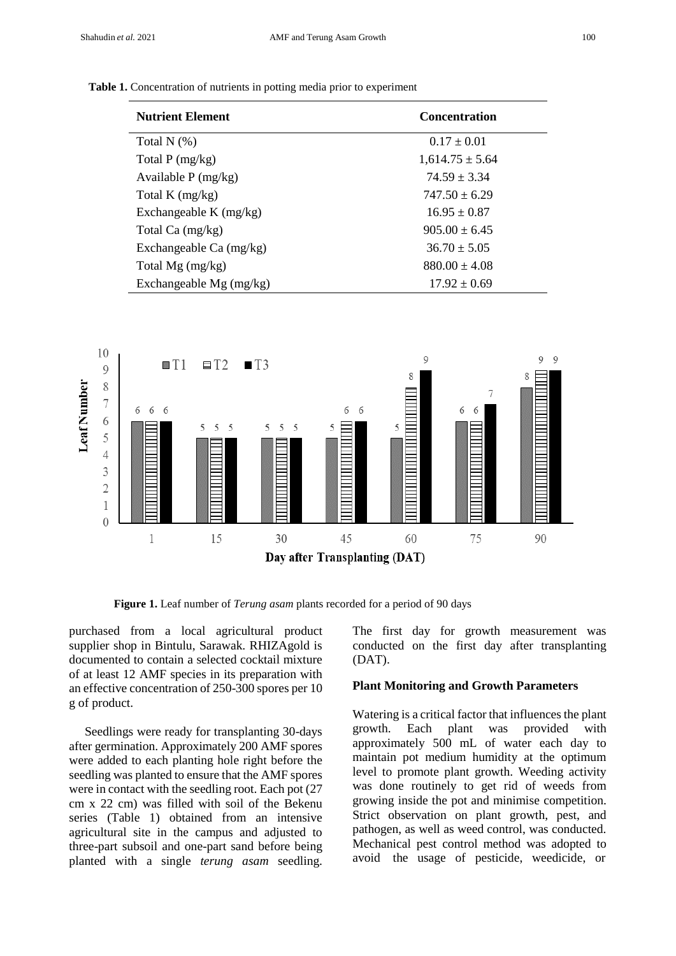#### **Table 1.** Concentration of nutrients in potting media prior to experiment

| <b>Nutrient Element</b>   | <b>Concentration</b> |  |  |
|---------------------------|----------------------|--|--|
| Total $N$ $(\%)$          | $0.17 + 0.01$        |  |  |
| Total $P(mg/kg)$          | $1,614.75 \pm 5.64$  |  |  |
| Available $P(mg/kg)$      | $74.59 \pm 3.34$     |  |  |
| Total K $(mg/kg)$         | $747.50 + 6.29$      |  |  |
| Exchangeable K $(mg/kg)$  | $16.95 \pm 0.87$     |  |  |
| Total Ca (mg/kg)          | $905.00 + 6.45$      |  |  |
| Exchangeable Ca (mg/kg)   | $36.70 \pm 5.05$     |  |  |
| Total Mg (mg/kg)          | $880.00 \pm 4.08$    |  |  |
| Exchangeable $Mg$ (mg/kg) | $17.92 \pm 0.69$     |  |  |



**Figure 1.** Leaf number of *Terung asam* plants recorded for a period of 90 days

purchased from a local agricultural product supplier shop in Bintulu, Sarawak. RHIZAgold is documented to contain a selected cocktail mixture of at least 12 AMF species in its preparation with an effective concentration of 250-300 spores per 10 g of product.

 Seedlings were ready for transplanting 30-days after germination. Approximately 200 AMF spores were added to each planting hole right before the seedling was planted to ensure that the AMF spores were in contact with the seedling root. Each pot (27) cm x 22 cm) was filled with soil of the Bekenu series (Table 1) obtained from an intensive agricultural site in the campus and adjusted to three-part subsoil and one-part sand before being planted with a single *terung asam* seedling. The first day for growth measurement was conducted on the first day after transplanting (DAT).

## **Plant Monitoring and Growth Parameters**

Watering is a critical factor that influences the plant growth. Each plant was provided with approximately 500 mL of water each day to maintain pot medium humidity at the optimum level to promote plant growth. Weeding activity was done routinely to get rid of weeds from growing inside the pot and minimise competition. Strict observation on plant growth, pest, and pathogen, as well as weed control, was conducted. Mechanical pest control method was adopted to avoid the usage of pesticide, weedicide, or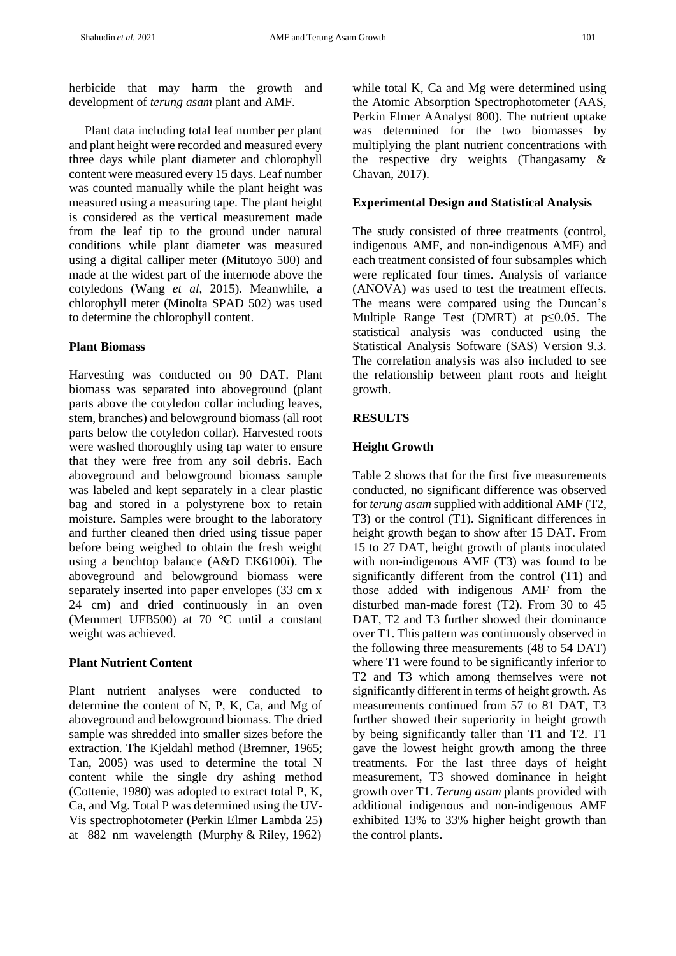herbicide that may harm the growth and development of *terung asam* plant and AMF.

 Plant data including total leaf number per plant and plant height were recorded and measured every three days while plant diameter and chlorophyll content were measured every 15 days. Leaf number was counted manually while the plant height was measured using a measuring tape. The plant height is considered as the vertical measurement made from the leaf tip to the ground under natural conditions while plant diameter was measured using a digital calliper meter (Mitutoyo 500) and made at the widest part of the internode above the cotyledons (Wang *et al*, 2015). Meanwhile, a chlorophyll meter (Minolta SPAD 502) was used to determine the chlorophyll content.

# **Plant Biomass**

Harvesting was conducted on 90 DAT. Plant biomass was separated into aboveground (plant parts above the cotyledon collar including leaves, stem, branches) and belowground biomass (all root parts below the cotyledon collar). Harvested roots were washed thoroughly using tap water to ensure that they were free from any soil debris. Each aboveground and belowground biomass sample was labeled and kept separately in a clear plastic bag and stored in a polystyrene box to retain moisture. Samples were brought to the laboratory and further cleaned then dried using tissue paper before being weighed to obtain the fresh weight using a benchtop balance (A&D EK6100i). The aboveground and belowground biomass were separately inserted into paper envelopes (33 cm x 24 cm) and dried continuously in an oven (Memmert UFB500) at 70 °C until a constant weight was achieved.

# **Plant Nutrient Content**

Plant nutrient analyses were conducted to determine the content of N, P, K, Ca, and Mg of aboveground and belowground biomass. The dried sample was shredded into smaller sizes before the extraction. The Kjeldahl method (Bremner, 1965; Tan, 2005) was used to determine the total N content while the single dry ashing method (Cottenie, 1980) was adopted to extract total P, K, Ca, and Mg. Total P was determined using the UV-Vis spectrophotometer (Perkin Elmer Lambda 25) at 882 nm wavelength (Murphy & Riley, 1962)

while total K, Ca and Mg were determined using the Atomic Absorption Spectrophotometer (AAS, Perkin Elmer AAnalyst 800). The nutrient uptake was determined for the two biomasses by multiplying the plant nutrient concentrations with the respective dry weights (Thangasamy & Chavan, 2017).

# **Experimental Design and Statistical Analysis**

The study consisted of three treatments (control, indigenous AMF, and non-indigenous AMF) and each treatment consisted of four subsamples which were replicated four times. Analysis of variance (ANOVA) was used to test the treatment effects. The means were compared using the Duncan's Multiple Range Test (DMRT) at p≤0.05. The statistical analysis was conducted using the Statistical Analysis Software (SAS) Version 9.3. The correlation analysis was also included to see the relationship between plant roots and height growth.

# **RESULTS**

# **Height Growth**

Table 2 shows that for the first five measurements conducted, no significant difference was observed for *terung asam* supplied with additional AMF (T2, T3) or the control (T1). Significant differences in height growth began to show after 15 DAT. From 15 to 27 DAT, height growth of plants inoculated with non-indigenous AMF (T3) was found to be significantly different from the control (T1) and those added with indigenous AMF from the disturbed man-made forest (T2). From 30 to 45 DAT, T2 and T3 further showed their dominance over T1. This pattern was continuously observed in the following three measurements (48 to 54 DAT) where T1 were found to be significantly inferior to T2 and T3 which among themselves were not significantly different in terms of height growth. As measurements continued from 57 to 81 DAT, T3 further showed their superiority in height growth by being significantly taller than T1 and T2. T1 gave the lowest height growth among the three treatments. For the last three days of height measurement, T3 showed dominance in height growth over T1. *Terung asam* plants provided with additional indigenous and non-indigenous AMF exhibited 13% to 33% higher height growth than the control plants.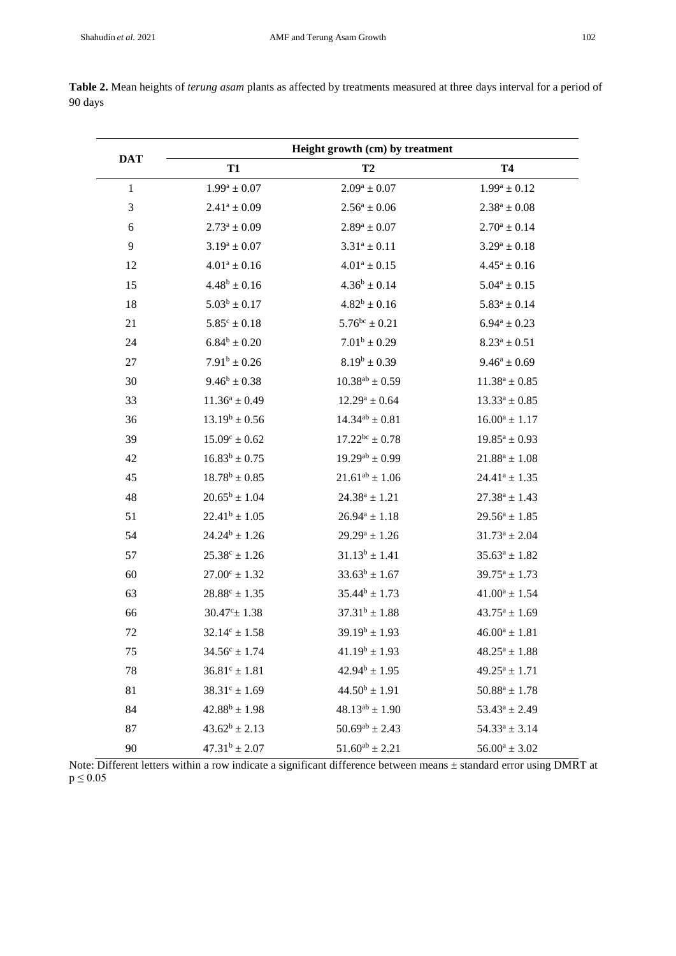|                |                          | Height growth (cm) by treatment |                    |  |  |
|----------------|--------------------------|---------------------------------|--------------------|--|--|
| <b>DAT</b>     | <b>T1</b>                | T2                              | <b>T4</b>          |  |  |
| $\mathbf{1}$   | $1.99^a \pm 0.07$        | $2.09^a \pm 0.07$               | $1.99^a \pm 0.12$  |  |  |
| $\mathfrak{Z}$ | $2.41^a \pm 0.09$        | $2.56^a \pm 0.06$               | $2.38^a \pm 0.08$  |  |  |
| $\sqrt{6}$     | $2.73^a \pm 0.09$        | $2.89^a \pm 0.07$               | $2.70^a \pm 0.14$  |  |  |
| 9              | $3.19^a \pm 0.07$        | $3.31^a \pm 0.11$               | $3.29^a \pm 0.18$  |  |  |
| 12             | $4.01^a \pm 0.16$        | $4.01^a \pm 0.15$               | $4.45^a \pm 0.16$  |  |  |
| 15             | $4.48^b \pm 0.16$        | $4.36^b \pm 0.14$               | $5.04^a \pm 0.15$  |  |  |
| 18             | $5.03^b \pm 0.17$        | $4.82^b \pm 0.16$               | $5.83^a \pm 0.14$  |  |  |
| 21             | $5.85^{\circ} \pm 0.18$  | $5.76^{bc} \pm 0.21$            | $6.94^a \pm 0.23$  |  |  |
| 24             | $6.84^b \pm 0.20$        | $7.01^b \pm 0.29$               | $8.23^a \pm 0.51$  |  |  |
| 27             | $7.91^b \pm 0.26$        | $8.19^b \pm 0.39$               | $9.46^a \pm 0.69$  |  |  |
| 30             | $9.46^b \pm 0.38$        | $10.38^{ab} \pm 0.59$           | $11.38^a \pm 0.85$ |  |  |
| 33             | $11.36^a \pm 0.49$       | $12.29^a \pm 0.64$              | $13.33^a \pm 0.85$ |  |  |
| 36             | $13.19^b \pm 0.56$       | $14.34^{ab} \pm 0.81$           | $16.00^a \pm 1.17$ |  |  |
| 39             | $15.09^{\circ} \pm 0.62$ | $17.22^{bc} \pm 0.78$           | $19.85^a \pm 0.93$ |  |  |
| 42             | $16.83^b \pm 0.75$       | $19.29^{ab} \pm 0.99$           | $21.88^a \pm 1.08$ |  |  |
| 45             | $18.78^b \pm 0.85$       | $21.61^{ab} \pm 1.06$           | $24.41^a \pm 1.35$ |  |  |
| 48             | $20.65^b \pm 1.04$       | $24.38^a \pm 1.21$              | $27.38^a \pm 1.43$ |  |  |
| 51             | $22.41^b \pm 1.05$       | $26.94^a \pm 1.18$              | $29.56^a \pm 1.85$ |  |  |
| 54             | $24.24^b \pm 1.26$       | $29.29^a \pm 1.26$              | $31.73^a \pm 2.04$ |  |  |
| 57             | $25.38^{\circ} \pm 1.26$ | $31.13^b \pm 1.41$              | $35.63^a \pm 1.82$ |  |  |
| 60             | $27.00^{\circ} \pm 1.32$ | $33.63^b \pm 1.67$              | $39.75^a \pm 1.73$ |  |  |
| 63             | $28.88^c \pm 1.35$       | $35.44^b \pm 1.73$              | $41.00^a \pm 1.54$ |  |  |
| 66             | $30.47^{\circ}$ ± 1.38   | $37.31^b \pm 1.88$              | $43.75^a \pm 1.69$ |  |  |
| 72             | $32.14^{\circ} \pm 1.58$ | $39.19^b \pm 1.93$              | $46.00^a \pm 1.81$ |  |  |
| 75             | $34.56^{\circ} \pm 1.74$ | $41.19^b \pm 1.93$              | $48.25^a \pm 1.88$ |  |  |
| 78             | $36.81^c \pm 1.81$       | $42.94^b \pm 1.95$              | $49.25^a \pm 1.71$ |  |  |
| 81             | $38.31^{\circ} \pm 1.69$ | $44.50^b \pm 1.91$              | $50.88^a \pm 1.78$ |  |  |
| 84             | $42.88^b \pm 1.98$       | $48.13^{ab} \pm 1.90$           | $53.43^a \pm 2.49$ |  |  |
| 87             | $43.62^b \pm 2.13$       | $50.69^{ab} \pm 2.43$           | $54.33^a \pm 3.14$ |  |  |
| 90             | $47.31^b \pm 2.07$       | $51.60^{ab} \pm 2.21$           | $56.00^a \pm 3.02$ |  |  |

**Table 2.** Mean heights of *terung asam* plants as affected by treatments measured at three days interval for a period of 90 days

Note: Different letters within a row indicate a significant difference between means ± standard error using DMRT at  $p \le 0.05$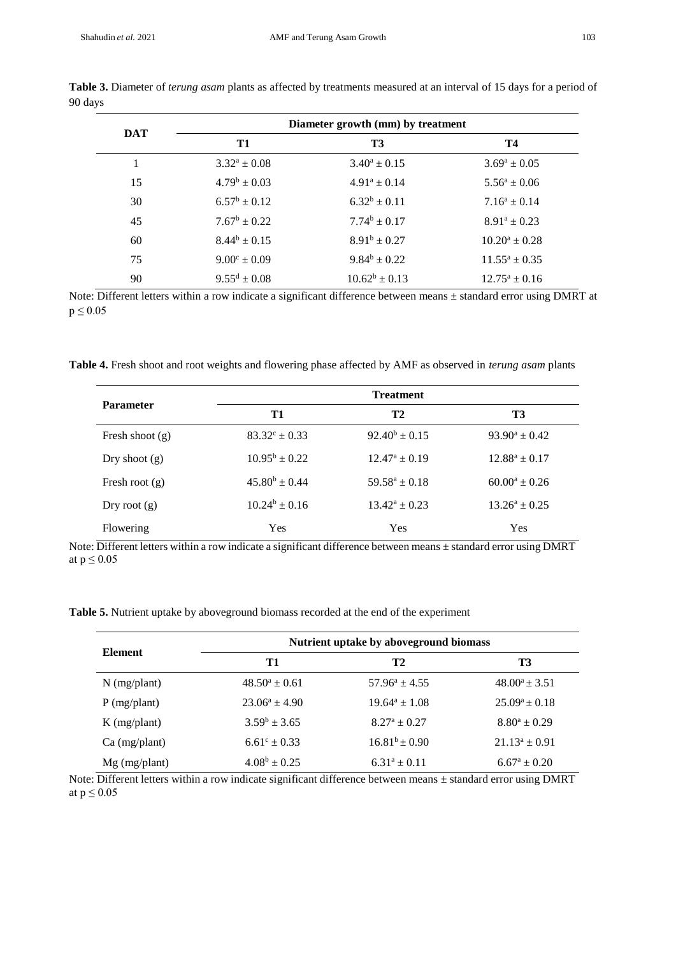| <b>DAT</b> | Diameter growth (mm) by treatment |                    |                    |  |
|------------|-----------------------------------|--------------------|--------------------|--|
|            | T1                                | <b>T3</b>          | Т4                 |  |
|            | $3.32^a \pm 0.08$                 | $3.40^a \pm 0.15$  | $3.69^a \pm 0.05$  |  |
| 15         | $4.79^b \pm 0.03$                 | $4.91^a \pm 0.14$  | $5.56^a \pm 0.06$  |  |
| 30         | $6.57^b \pm 0.12$                 | $6.32^b \pm 0.11$  | $7.16^a \pm 0.14$  |  |
| 45         | $7.67^b \pm 0.22$                 | $7.74^b \pm 0.17$  | $8.91^a \pm 0.23$  |  |
| 60         | $8.44^b \pm 0.15$                 | $8.91^b \pm 0.27$  | $10.20^a \pm 0.28$ |  |
| 75         | $9.00^{\circ} \pm 0.09$           | $9.84^b \pm 0.22$  | $11.55^a \pm 0.35$ |  |
| 90         | $9.55^d \pm 0.08$                 | $10.62^b \pm 0.13$ | $12.75^a \pm 0.16$ |  |

**Table 3.** Diameter of *terung asam* plants as affected by treatments measured at an interval of 15 days for a period of 90 days

Note: Different letters within a row indicate a significant difference between means ± standard error using DMRT at  $p \leq 0.05$ 

**Table 4.** Fresh shoot and root weights and flowering phase affected by AMF as observed in *terung asam* plants

| <b>Parameter</b>  | <b>Treatment</b>         |                    |                    |
|-------------------|--------------------------|--------------------|--------------------|
|                   | T1                       | T <sub>2</sub>     | T3                 |
| Fresh shoot $(g)$ | $83.32^{\circ} \pm 0.33$ | $92.40^b \pm 0.15$ | $93.90^a \pm 0.42$ |
| Dry shoot $(g)$   | $10.95^b \pm 0.22$       | $12.47^a \pm 0.19$ | $12.88^a \pm 0.17$ |
| Fresh root $(g)$  | $45.80^b \pm 0.44$       | $59.58^a \pm 0.18$ | $60.00^a \pm 0.26$ |
| Dry root $(g)$    | $10.24^b \pm 0.16$       | $13.42^a \pm 0.23$ | $13.26^a \pm 0.25$ |
| Flowering         | Yes                      | Yes                | Yes                |

Note: Different letters within a row indicate a significant difference between means ± standard error using DMRT at  $p \leq 0.05$ 

**Table 5.** Nutrient uptake by aboveground biomass recorded at the end of the experiment

| <b>Element</b>  | Nutrient uptake by above ground biomass |                      |                    |
|-----------------|-----------------------------------------|----------------------|--------------------|
|                 | T1                                      | T2                   | T3                 |
| $N$ (mg/plant)  | $48.50^a \pm 0.61$                      | $57.96^a \pm 4.55$   | $48.00^a \pm 3.51$ |
| $P$ (mg/plant)  | $23.06^a \pm 4.90$                      | $19.64^a \pm 1.08$   | $25.09^a \pm 0.18$ |
| $K$ (mg/plant)  | $3.59^b \pm 3.65$                       | $8.27^a \pm 0.27$    | $8.80^a \pm 0.29$  |
| $Ca$ (mg/plant) | $6.61^{\circ} \pm 0.33$                 | $16.81^{b} \pm 0.90$ | $21.13^a \pm 0.91$ |
| $Mg$ (mg/plant) | $4.08^b \pm 0.25$                       | $6.31^a \pm 0.11$    | $6.67^a \pm 0.20$  |

Note: Different letters within a row indicate significant difference between means ± standard error using DMRT at  $p \leq 0.05$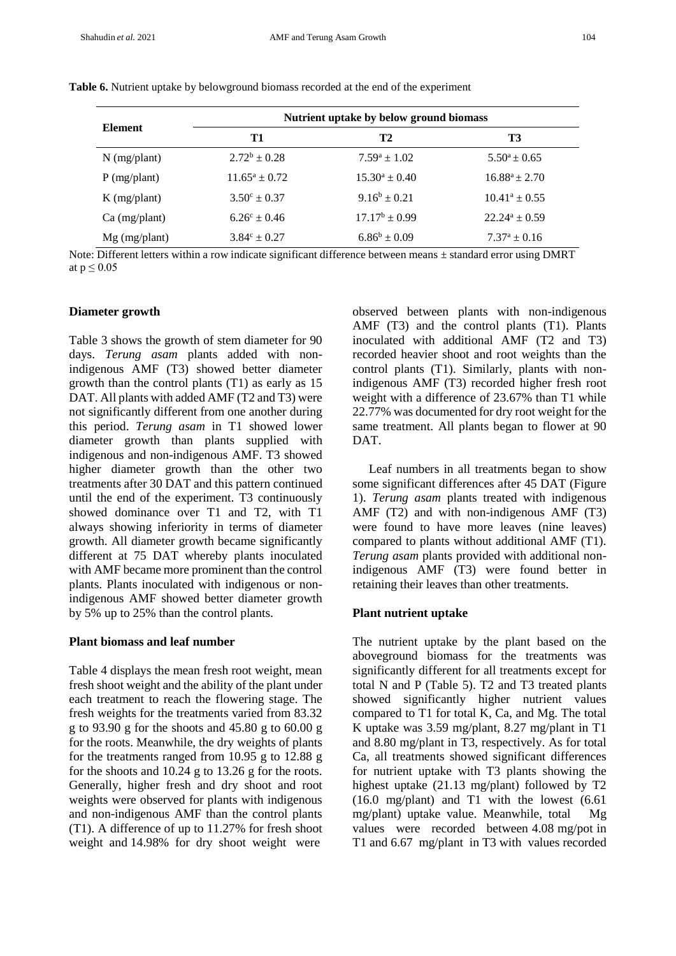| <b>Element</b>  | Nutrient uptake by below ground biomass |                    |                         |  |
|-----------------|-----------------------------------------|--------------------|-------------------------|--|
|                 | T1                                      | T2                 | T3                      |  |
| $N$ (mg/plant)  | $2.72^b \pm 0.28$                       | $7.59^a \pm 1.02$  | $5.50^a \pm 0.65$       |  |
| $P$ (mg/plant)  | $11.65^a \pm 0.72$                      | $15.30^a \pm 0.40$ | $16.88^a \pm 2.70$      |  |
| $K$ (mg/plant)  | $3.50^{\circ} \pm 0.37$                 | $9.16^b \pm 0.21$  | $10.41^a \pm 0.55$      |  |
| $Ca$ (mg/plant) | $6.26^{\circ} \pm 0.46$                 | $17.17^b \pm 0.99$ | $22.24^a \pm 0.59$      |  |
| $Mg$ (mg/plant) | $3.84^{\circ} \pm 0.27$                 | $6.86^b \pm 0.09$  | $7.37^{\rm a} \pm 0.16$ |  |

**Table 6.** Nutrient uptake by belowground biomass recorded at the end of the experiment

Note: Different letters within a row indicate significant difference between means  $\pm$  standard error using DMRT at  $p \leq 0.05$ 

#### **Diameter growth**

Table 3 shows the growth of stem diameter for 90 days. *Terung asam* plants added with nonindigenous AMF (T3) showed better diameter growth than the control plants (T1) as early as 15 DAT. All plants with added AMF (T2 and T3) were not significantly different from one another during this period. *Terung asam* in T1 showed lower diameter growth than plants supplied with indigenous and non-indigenous AMF. T3 showed higher diameter growth than the other two treatments after 30 DAT and this pattern continued until the end of the experiment. T3 continuously showed dominance over T1 and T2, with T1 always showing inferiority in terms of diameter growth. All diameter growth became significantly different at 75 DAT whereby plants inoculated with AMF became more prominent than the control plants. Plants inoculated with indigenous or nonindigenous AMF showed better diameter growth by 5% up to 25% than the control plants.

## **Plant biomass and leaf number**

Table 4 displays the mean fresh root weight, mean fresh shoot weight and the ability of the plant under each treatment to reach the flowering stage. The fresh weights for the treatments varied from 83.32 g to 93.90 g for the shoots and 45.80 g to 60.00 g for the roots. Meanwhile, the dry weights of plants for the treatments ranged from 10.95 g to 12.88 g for the shoots and 10.24 g to 13.26 g for the roots. Generally, higher fresh and dry shoot and root weights were observed for plants with indigenous and non-indigenous AMF than the control plants (T1). A difference of up to 11.27% for fresh shoot weight and 14.98% for dry shoot weight were

observed between plants with non-indigenous AMF (T3) and the control plants (T1). Plants inoculated with additional AMF (T2 and T3) recorded heavier shoot and root weights than the control plants (T1). Similarly, plants with nonindigenous AMF (T3) recorded higher fresh root weight with a difference of 23.67% than T1 while 22.77% was documented for dry root weight for the same treatment. All plants began to flower at 90 DAT.

Leaf numbers in all treatments began to show some significant differences after 45 DAT (Figure 1). *Terung asam* plants treated with indigenous AMF (T2) and with non-indigenous AMF (T3) were found to have more leaves (nine leaves) compared to plants without additional AMF (T1). *Terung asam* plants provided with additional nonindigenous AMF (T3) were found better in retaining their leaves than other treatments.

# **Plant nutrient uptake**

The nutrient uptake by the plant based on the aboveground biomass for the treatments was significantly different for all treatments except for total N and P (Table 5). T2 and T3 treated plants showed significantly higher nutrient values compared to T1 for total K, Ca, and Mg. The total K uptake was 3.59 mg/plant, 8.27 mg/plant in T1 and 8.80 mg/plant in T3, respectively. As for total Ca, all treatments showed significant differences for nutrient uptake with T3 plants showing the highest uptake (21.13 mg/plant) followed by T2 (16.0 mg/plant) and T1 with the lowest (6.61 mg/plant) uptake value. Meanwhile, total Mg values were recorded between 4.08 mg/pot in T1 and 6.67 mg/plant in T3 with values recorded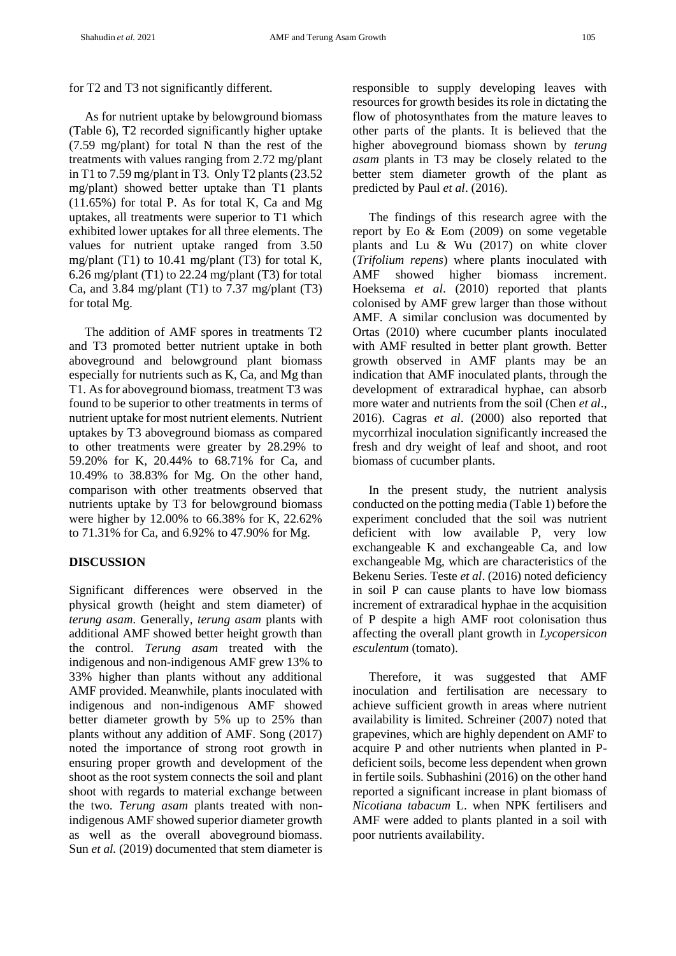for T2 and T3 not significantly different.

 As for nutrient uptake by belowground biomass (Table 6), T2 recorded significantly higher uptake (7.59 mg/plant) for total N than the rest of the treatments with values ranging from 2.72 mg/plant in T1 to 7.59 mg/plant in T3. Only T2 plants (23.52 mg/plant) showed better uptake than T1 plants (11.65%) for total P. As for total K, Ca and Mg uptakes, all treatments were superior to T1 which exhibited lower uptakes for all three elements. The values for nutrient uptake ranged from 3.50 mg/plant  $(T1)$  to 10.41 mg/plant  $(T3)$  for total K, 6.26 mg/plant (T1) to 22.24 mg/plant (T3) for total Ca, and 3.84 mg/plant  $(T1)$  to 7.37 mg/plant  $(T3)$ for total Mg.

 The addition of AMF spores in treatments T2 and T3 promoted better nutrient uptake in both aboveground and belowground plant biomass especially for nutrients such as K, Ca, and Mg than T1. As for aboveground biomass, treatment T3 was found to be superior to other treatments in terms of nutrient uptake for most nutrient elements. Nutrient uptakes by T3 aboveground biomass as compared to other treatments were greater by 28.29% to 59.20% for K, 20.44% to 68.71% for Ca, and 10.49% to 38.83% for Mg. On the other hand, comparison with other treatments observed that nutrients uptake by T3 for belowground biomass were higher by 12.00% to 66.38% for K, 22.62% to 71.31% for Ca, and 6.92% to 47.90% for Mg.

# **DISCUSSION**

Significant differences were observed in the physical growth (height and stem diameter) of *terung asam*. Generally, *terung asam* plants with additional AMF showed better height growth than the control. *Terung asam* treated with the indigenous and non-indigenous AMF grew 13% to 33% higher than plants without any additional AMF provided. Meanwhile, plants inoculated with indigenous and non-indigenous AMF showed better diameter growth by 5% up to 25% than plants without any addition of AMF. Song (2017) noted the importance of strong root growth in ensuring proper growth and development of the shoot as the root system connects the soil and plant shoot with regards to material exchange between the two. *Terung asam* plants treated with nonindigenous AMF showed superior diameter growth as well as the overall aboveground biomass. Sun *et al.* (2019) documented that stem diameter is responsible to supply developing leaves with resources for growth besides its role in dictating the flow of photosynthates from the mature leaves to other parts of the plants. It is believed that the higher aboveground biomass shown by *terung asam* plants in T3 may be closely related to the better stem diameter growth of the plant as predicted by Paul *et al*. (2016).

The findings of this research agree with the report by Eo & Eom (2009) on some vegetable plants and Lu & Wu (2017) on white clover (*Trifolium repens*) where plants inoculated with AMF showed higher biomass increment. Hoeksema *et al*. (2010) reported that plants colonised by AMF grew larger than those without AMF. A similar conclusion was documented by Ortas (2010) where cucumber plants inoculated with AMF resulted in better plant growth. Better growth observed in AMF plants may be an indication that AMF inoculated plants, through the development of extraradical hyphae, can absorb more water and nutrients from the soil (Chen *et al*., 2016). Cagras *et al*. (2000) also reported that mycorrhizal inoculation significantly increased the fresh and dry weight of leaf and shoot, and root biomass of cucumber plants.

In the present study, the nutrient analysis conducted on the potting media (Table 1) before the experiment concluded that the soil was nutrient deficient with low available P, very low exchangeable K and exchangeable Ca, and low exchangeable Mg, which are characteristics of the Bekenu Series. Teste *et al*. (2016) noted deficiency in soil P can cause plants to have low biomass increment of extraradical hyphae in the acquisition of P despite a high AMF root colonisation thus affecting the overall plant growth in *Lycopersicon esculentum* (tomato).

Therefore, it was suggested that AMF inoculation and fertilisation are necessary to achieve sufficient growth in areas where nutrient availability is limited. Schreiner (2007) noted that grapevines, which are highly dependent on AMF to acquire P and other nutrients when planted in Pdeficient soils, become less dependent when grown in fertile soils. Subhashini (2016) on the other hand reported a significant increase in plant biomass of *Nicotiana tabacum* L. when NPK fertilisers and AMF were added to plants planted in a soil with poor nutrients availability.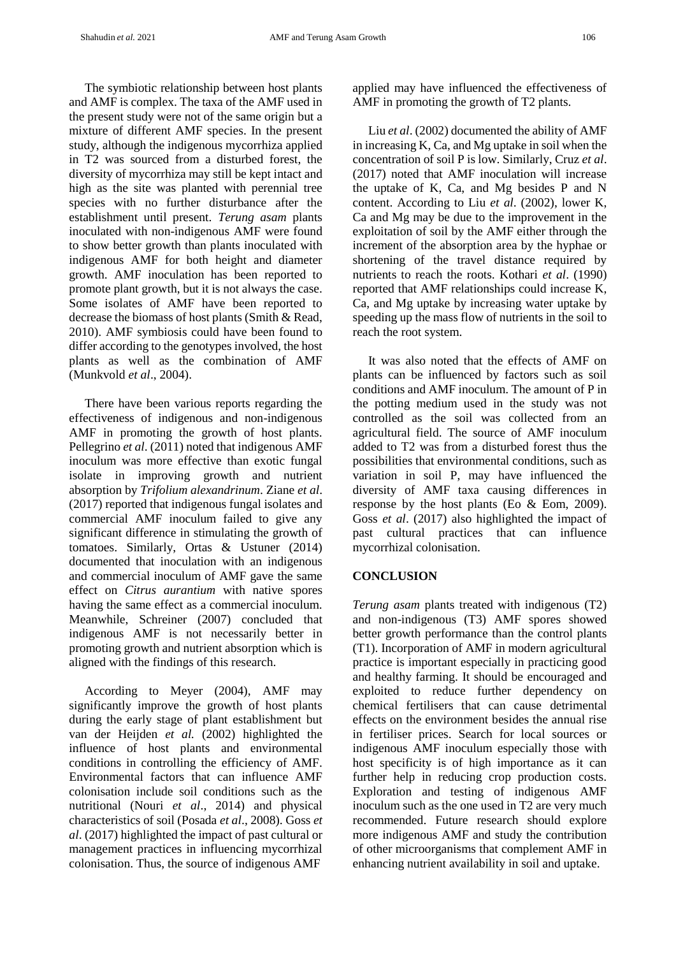The symbiotic relationship between host plants and AMF is complex. The taxa of the AMF used in the present study were not of the same origin but a mixture of different AMF species. In the present study, although the indigenous mycorrhiza applied in T2 was sourced from a disturbed forest, the diversity of mycorrhiza may still be kept intact and high as the site was planted with perennial tree species with no further disturbance after the establishment until present. *Terung asam* plants inoculated with non-indigenous AMF were found to show better growth than plants inoculated with indigenous AMF for both height and diameter growth. AMF inoculation has been reported to promote plant growth, but it is not always the case. Some isolates of AMF have been reported to decrease the biomass of host plants (Smith & Read, 2010). AMF symbiosis could have been found to differ according to the genotypes involved, the host plants as well as the combination of AMF (Munkvold *et al*., 2004).

 There have been various reports regarding the effectiveness of indigenous and non-indigenous AMF in promoting the growth of host plants. Pellegrino *et al*. (2011) noted that indigenous AMF inoculum was more effective than exotic fungal isolate in improving growth and nutrient absorption by *Trifolium alexandrinum*. Ziane *et al*. (2017) reported that indigenous fungal isolates and commercial AMF inoculum failed to give any significant difference in stimulating the growth of tomatoes. Similarly, Ortas & Ustuner (2014) documented that inoculation with an indigenous and commercial inoculum of AMF gave the same effect on *Citrus aurantium* with native spores having the same effect as a commercial inoculum. Meanwhile, Schreiner (2007) concluded that indigenous AMF is not necessarily better in promoting growth and nutrient absorption which is aligned with the findings of this research.

 According to Meyer (2004), AMF may significantly improve the growth of host plants during the early stage of plant establishment but van der Heijden *et al.* (2002) highlighted the influence of host plants and environmental conditions in controlling the efficiency of AMF. Environmental factors that can influence AMF colonisation include soil conditions such as the nutritional (Nouri *et al*., 2014) and physical characteristics of soil (Posada *et al*., 2008). Goss *et al*. (2017) highlighted the impact of past cultural or management practices in influencing mycorrhizal colonisation. Thus, the source of indigenous AMF

applied may have influenced the effectiveness of AMF in promoting the growth of T2 plants.

 Liu *et al*. (2002) documented the ability of AMF in increasing K, Ca, and Mg uptake in soil when the concentration of soil P is low. Similarly, Cruz *et al*. (2017) noted that AMF inoculation will increase the uptake of K, Ca, and Mg besides P and N content. According to Liu *et al*. (2002), lower K, Ca and Mg may be due to the improvement in the exploitation of soil by the AMF either through the increment of the absorption area by the hyphae or shortening of the travel distance required by nutrients to reach the roots. Kothari *et al*. (1990) reported that AMF relationships could increase K, Ca, and Mg uptake by increasing water uptake by speeding up the mass flow of nutrients in the soil to reach the root system.

 It was also noted that the effects of AMF on plants can be influenced by factors such as soil conditions and AMF inoculum. The amount of P in the potting medium used in the study was not controlled as the soil was collected from an agricultural field. The source of AMF inoculum added to T2 was from a disturbed forest thus the possibilities that environmental conditions, such as variation in soil P, may have influenced the diversity of AMF taxa causing differences in response by the host plants (Eo & Eom, 2009). Goss *et al*. (2017) also highlighted the impact of past cultural practices that can influence mycorrhizal colonisation.

# **CONCLUSION**

*Terung asam* plants treated with indigenous (T2) and non-indigenous (T3) AMF spores showed better growth performance than the control plants (T1). Incorporation of AMF in modern agricultural practice is important especially in practicing good and healthy farming. It should be encouraged and exploited to reduce further dependency on chemical fertilisers that can cause detrimental effects on the environment besides the annual rise in fertiliser prices. Search for local sources or indigenous AMF inoculum especially those with host specificity is of high importance as it can further help in reducing crop production costs. Exploration and testing of indigenous AMF inoculum such as the one used in T2 are very much recommended. Future research should explore more indigenous AMF and study the contribution of other microorganisms that complement AMF in enhancing nutrient availability in soil and uptake.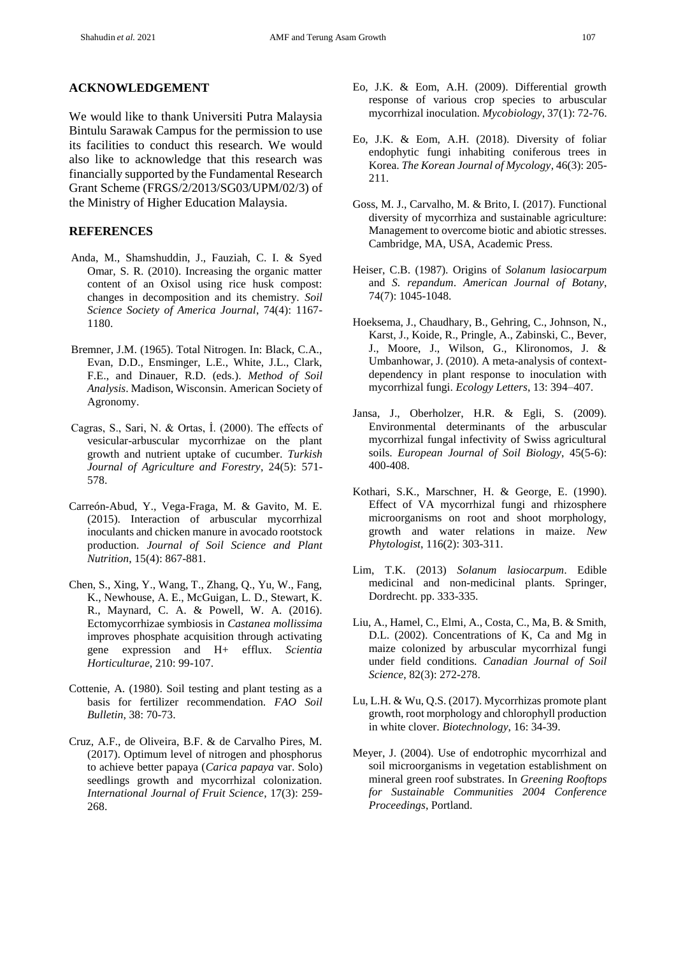We would like to thank Universiti Putra Malaysia Bintulu Sarawak Campus for the permission to use its facilities to conduct this research. We would also like to acknowledge that this research was financially supported by the Fundamental Research Grant Scheme (FRGS/2/2013/SG03/UPM/02/3) of the Ministry of Higher Education Malaysia.

### **REFERENCES**

- Anda, M., Shamshuddin, J., Fauziah, C. I. & Syed Omar, S. R. (2010). Increasing the organic matter content of an Oxisol using rice husk compost: changes in decomposition and its chemistry. *Soil Science Society of America Journal*, 74(4): 1167- 1180.
- Bremner, J.M. (1965). Total Nitrogen. In: Black, C.A., Evan, D.D., Ensminger, L.E., White, J.L., Clark, F.E., and Dinauer, R.D. (eds.). *Method of Soil Analysis*. Madison, Wisconsin. American Society of Agronomy.
- Cagras, S., Sari, N. & Ortas, İ. (2000). The effects of vesicular-arbuscular mycorrhizae on the plant growth and nutrient uptake of cucumber. *Turkish Journal of Agriculture and Forestry*, 24(5): 571- 578.
- Carreón-Abud, Y., Vega-Fraga, M. & Gavito, M. E. (2015). Interaction of arbuscular mycorrhizal inoculants and chicken manure in avocado rootstock production. *Journal of Soil Science and Plant Nutrition*, 15(4): 867-881.
- Chen, S., Xing, Y., Wang, T., Zhang, Q., Yu, W., Fang, K., Newhouse, A. E., McGuigan, L. D., Stewart, K. R., Maynard, C. A. & Powell, W. A. (2016). Ectomycorrhizae symbiosis in *Castanea mollissima* improves phosphate acquisition through activating gene expression and H+ efflux. *Scientia Horticulturae*, 210: 99-107.
- Cottenie, A. (1980). Soil testing and plant testing as a basis for fertilizer recommendation. *FAO Soil Bulletin*, 38: 70-73.
- Cruz, A.F., de Oliveira, B.F. & de Carvalho Pires, M. (2017). Optimum level of nitrogen and phosphorus to achieve better papaya (*Carica papaya* var. Solo) seedlings growth and mycorrhizal colonization. *International Journal of Fruit Science*, 17(3): 259- 268.
- Eo, J.K. & Eom, A.H. (2009). Differential growth response of various crop species to arbuscular mycorrhizal inoculation. *Mycobiology*, 37(1): 72-76.
- Eo, J.K. & Eom, A.H. (2018). Diversity of foliar endophytic fungi inhabiting coniferous trees in Korea. *The Korean Journal of Mycology*, 46(3): 205- 211.
- Goss, M. J., Carvalho, M. & Brito, I. (2017). Functional diversity of mycorrhiza and sustainable agriculture: Management to overcome biotic and abiotic stresses. Cambridge, MA, USA, Academic Press.
- Heiser, C.B. (1987). Origins of *Solanum lasiocarpum* and *S. repandum*. *American Journal of Botany*, 74(7): 1045-1048.
- Hoeksema, J., Chaudhary, B., Gehring, C., Johnson, N., Karst, J., Koide, R., Pringle, A., Zabinski, C., Bever, J., Moore, J., Wilson, G., Klironomos, J. & Umbanhowar, J. (2010). A meta-analysis of contextdependency in plant response to inoculation with mycorrhizal fungi. *Ecology Letters*, 13: 394–407.
- Jansa, J., Oberholzer, H.R. & Egli, S. (2009). Environmental determinants of the arbuscular mycorrhizal fungal infectivity of Swiss agricultural soils. *European Journal of Soil Biology*, 45(5-6): 400-408.
- Kothari, S.K., Marschner, H. & George, E. (1990). Effect of VA mycorrhizal fungi and rhizosphere microorganisms on root and shoot morphology, growth and water relations in maize. *New Phytologist*, 116(2): 303-311.
- Lim, T.K. (2013) *Solanum lasiocarpum*. Edible medicinal and non-medicinal plants. Springer, Dordrecht. pp. 333-335.
- Liu, A., Hamel, C., Elmi, A., Costa, C., Ma, B. & Smith, D.L. (2002). Concentrations of K, Ca and Mg in maize colonized by arbuscular mycorrhizal fungi under field conditions. *Canadian Journal of Soil Science*, 82(3): 272-278.
- Lu, L.H. & Wu, Q.S. (2017). Mycorrhizas promote plant growth, root morphology and chlorophyll production in white clover. *Biotechnology*, 16: 34-39.
- Meyer, J. (2004). Use of endotrophic mycorrhizal and soil microorganisms in vegetation establishment on mineral green roof substrates. In *Greening Rooftops for Sustainable Communities 2004 Conference Proceedings*, Portland.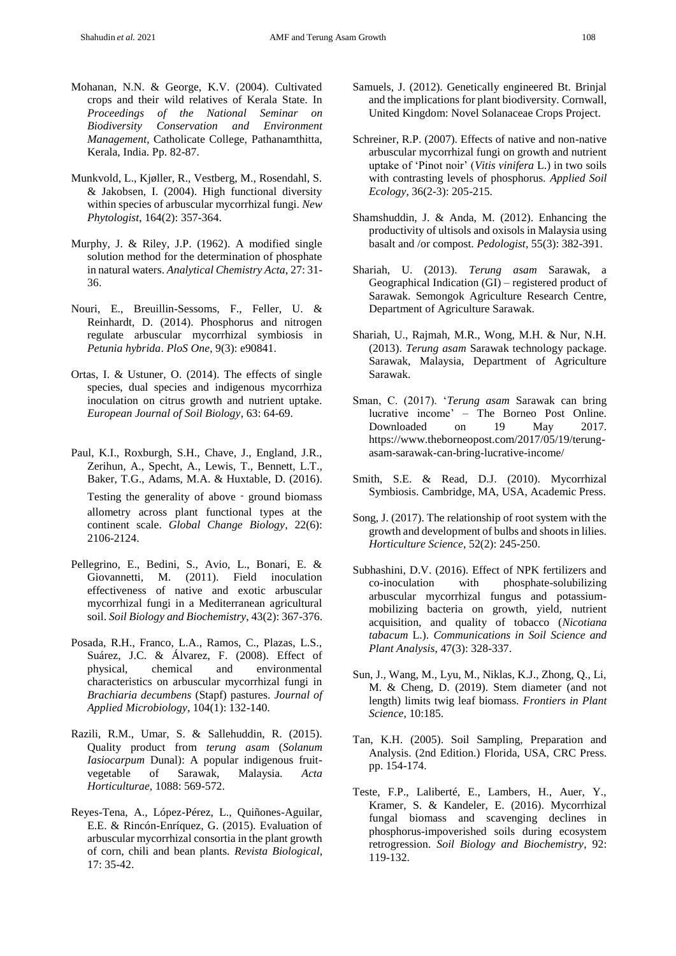- Mohanan, N.N. & George, K.V. (2004). Cultivated crops and their wild relatives of Kerala State. In *Proceedings of the National Seminar on Biodiversity Conservation and Environment Management*, Catholicate College, Pathanamthitta, Kerala, India. Pp. 82-87.
- Munkvold, L., Kjøller, R., Vestberg, M., Rosendahl, S. & Jakobsen, I. (2004). High functional diversity within species of arbuscular mycorrhizal fungi. *New Phytologist*, 164(2): 357-364.
- Murphy, J. & Riley, J.P. (1962). A modified single solution method for the determination of phosphate in natural waters. *Analytical Chemistry Acta*, 27: 31- 36.
- Nouri, E., Breuillin-Sessoms, F., Feller, U. & Reinhardt, D. (2014). Phosphorus and nitrogen regulate arbuscular mycorrhizal symbiosis in *Petunia hybrida*. *PloS One*, 9(3): e90841.
- Ortas, I. & Ustuner, O. (2014). The effects of single species, dual species and indigenous mycorrhiza inoculation on citrus growth and nutrient uptake. *European Journal of Soil Biology*, 63: 64-69.
- Paul, K.I., Roxburgh, S.H., Chave, J., England, J.R., Zerihun, A., Specht, A., Lewis, T., Bennett, L.T., Baker, T.G., Adams, M.A. & Huxtable, D. (2016).

Testing the generality of above – ground biomass allometry across plant functional types at the continent scale. *Global Change Biology*, 22(6): 2106-2124.

- Pellegrino, E., Bedini, S., Avio, L., Bonari, E. & Giovannetti, M. (2011). Field inoculation effectiveness of native and exotic arbuscular mycorrhizal fungi in a Mediterranean agricultural soil. *Soil Biology and Biochemistry*, 43(2): 367-376.
- Posada, R.H., Franco, L.A., Ramos, C., Plazas, L.S., Suárez, J.C. & Álvarez, F. (2008). Effect of physical, chemical and environmental characteristics on arbuscular mycorrhizal fungi in *Brachiaria decumbens* (Stapf) pastures. *Journal of Applied Microbiology*, 104(1): 132-140.
- Razili, R.M., Umar, S. & Sallehuddin, R. (2015). Quality product from *terung asam* (*Solanum Iasiocarpum* Dunal): A popular indigenous fruitvegetable of Sarawak, Malaysia. *Acta Horticulturae,* 1088: 569-572.
- Reyes-Tena, A., López-Pérez, L., Quiñones-Aguilar, E.E. & Rincón-Enríquez, G. (2015). Evaluation of arbuscular mycorrhizal consortia in the plant growth of corn, chili and bean plants. *Revista Biological*, 17: 35-42.
- Samuels, J. (2012). Genetically engineered Bt. Brinjal and the implications for plant biodiversity. Cornwall, United Kingdom: Novel Solanaceae Crops Project.
- Schreiner, R.P. (2007). Effects of native and non-native arbuscular mycorrhizal fungi on growth and nutrient uptake of 'Pinot noir' (*Vitis vinifera* L.) in two soils with contrasting levels of phosphorus. *Applied Soil Ecology*, 36(2-3): 205-215.
- Shamshuddin, J. & Anda, M. (2012). Enhancing the productivity of ultisols and oxisols in Malaysia using basalt and /or compost. *Pedologist*, 55(3): 382-391.
- Shariah, U. (2013). *Terung asam* Sarawak, a Geographical Indication (GI) – registered product of Sarawak. Semongok Agriculture Research Centre, Department of Agriculture Sarawak.
- Shariah, U., Rajmah, M.R., Wong, M.H. & Nur, N.H. (2013). *Terung asam* Sarawak technology package. Sarawak, Malaysia, Department of Agriculture Sarawak.
- Sman, C. (2017). '*Terung asam* Sarawak can bring lucrative income' – The Borneo Post Online. Downloaded on 19 May 2017. https://www.theborneopost.com/2017/05/19/terungasam-sarawak-can-bring-lucrative-income/
- Smith, S.E. & Read, D.J. (2010). Mycorrhizal Symbiosis. Cambridge, MA, USA, Academic Press.
- Song, J. (2017). The relationship of root system with the growth and development of bulbs and shoots in lilies. *Horticulture Science*, 52(2): 245-250.
- Subhashini, D.V. (2016). Effect of NPK fertilizers and co-inoculation with phosphate-solubilizing arbuscular mycorrhizal fungus and potassiummobilizing bacteria on growth, yield, nutrient acquisition, and quality of tobacco (*Nicotiana tabacum* L.). *Communications in Soil Science and Plant Analysis*, 47(3): 328-337.
- Sun, J., Wang, M., Lyu, M., Niklas, K.J., Zhong, Q., Li, M. & Cheng, D. (2019). Stem diameter (and not length) limits twig leaf biomass. *Frontiers in Plant Science*, 10:185.
- Tan, K.H. (2005). Soil Sampling, Preparation and Analysis. (2nd Edition.) Florida, USA, CRC Press. pp. 154-174.
- Teste, F.P., Laliberté, E., Lambers, H., Auer, Y., Kramer, S. & Kandeler, E. (2016). Mycorrhizal fungal biomass and scavenging declines in phosphorus-impoverished soils during ecosystem retrogression. *Soil Biology and Biochemistry*, 92: 119-132.